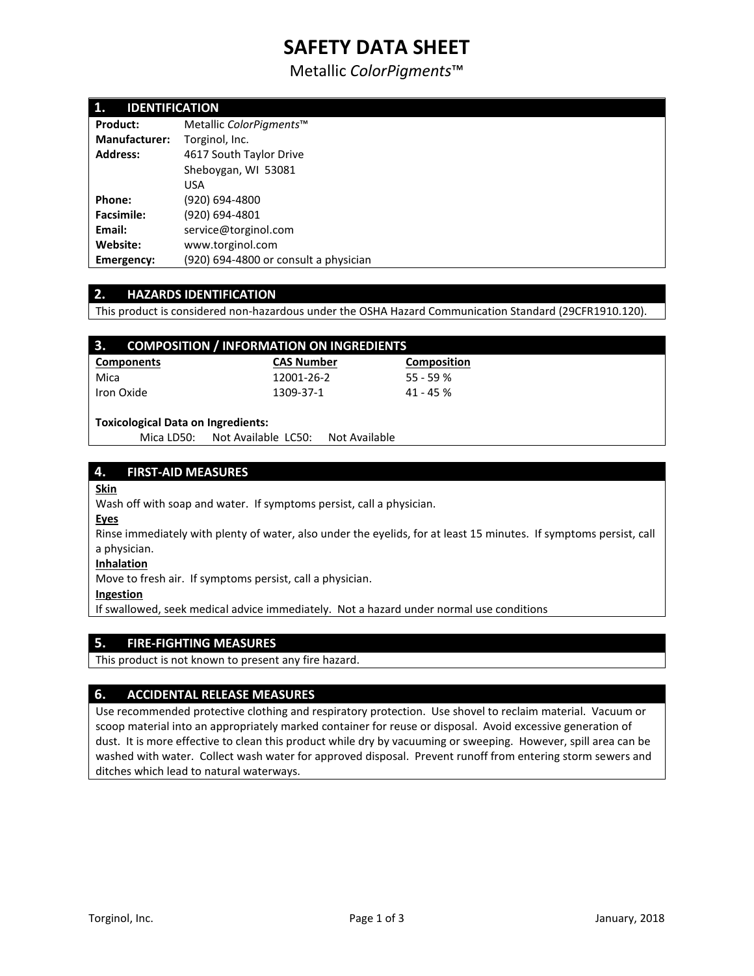# **SAFETY DATA SHEET**

Metallic *ColorPigments*™

| 1.<br><b>IDENTIFICATION</b> |                                       |  |  |
|-----------------------------|---------------------------------------|--|--|
| Product:                    | Metallic ColorPigments™               |  |  |
| <b>Manufacturer:</b>        | Torginol, Inc.                        |  |  |
| <b>Address:</b>             | 4617 South Taylor Drive               |  |  |
|                             | Sheboygan, WI 53081                   |  |  |
|                             | <b>USA</b>                            |  |  |
| Phone:                      | (920) 694-4800                        |  |  |
| <b>Facsimile:</b>           | (920) 694-4801                        |  |  |
| Email:                      | service@torginol.com                  |  |  |
| Website:                    | www.torginol.com                      |  |  |
| Emergency:                  | (920) 694-4800 or consult a physician |  |  |

# **2. HAZARDS IDENTIFICATION**

This product is considered non-hazardous under the OSHA Hazard Communication Standard (29CFR1910.120).

| 3.<br><b>COMPOSITION / INFORMATION ON INGREDIENTS</b> |                   |                    |  |
|-------------------------------------------------------|-------------------|--------------------|--|
| Components                                            | <b>CAS Number</b> | <b>Composition</b> |  |
| Mica                                                  | 12001-26-2        | $55 - 59%$         |  |
| Iron Oxide                                            | 1309-37-1         | $41 - 45%$         |  |
|                                                       |                   |                    |  |

#### **Toxicological Data on Ingredients:**

Mica LD50: Not Available LC50: Not Available

# **4. FIRST-AID MEASURES**

### **Skin**

Wash off with soap and water. If symptoms persist, call a physician.

#### **Eyes**

Rinse immediately with plenty of water, also under the eyelids, for at least 15 minutes. If symptoms persist, call a physician.

#### **Inhalation**

Move to fresh air. If symptoms persist, call a physician.

#### **Ingestion**

If swallowed, seek medical advice immediately. Not a hazard under normal use conditions

# **5. FIRE-FIGHTING MEASURES**

This product is not known to present any fire hazard.

# **6. ACCIDENTAL RELEASE MEASURES**

Use recommended protective clothing and respiratory protection. Use shovel to reclaim material. Vacuum or scoop material into an appropriately marked container for reuse or disposal. Avoid excessive generation of dust. It is more effective to clean this product while dry by vacuuming or sweeping. However, spill area can be washed with water. Collect wash water for approved disposal. Prevent runoff from entering storm sewers and ditches which lead to natural waterways.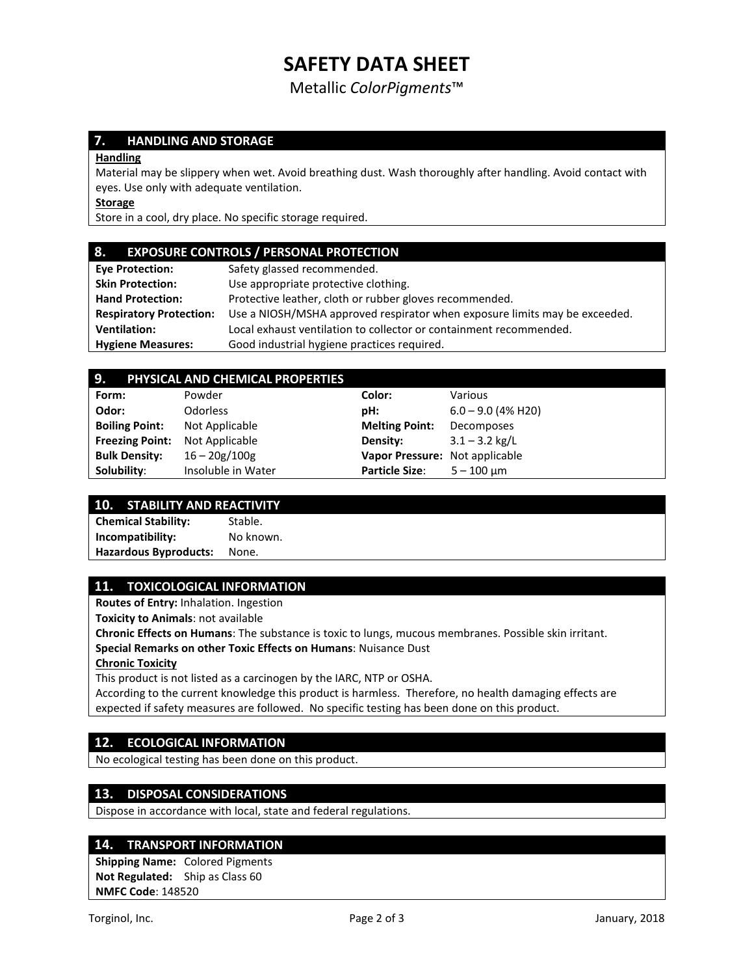# **SAFETY DATA SHEET**

Metallic *ColorPigments*™

# **7. HANDLING AND STORAGE**

#### **Handling**

Material may be slippery when wet. Avoid breathing dust. Wash thoroughly after handling. Avoid contact with eyes. Use only with adequate ventilation.

**Storage**

Store in a cool, dry place. No specific storage required.

#### **8. EXPOSURE CONTROLS / PERSONAL PROTECTION**

| <b>Eve Protection:</b>         | Safety glassed recommended.                                                |
|--------------------------------|----------------------------------------------------------------------------|
| <b>Skin Protection:</b>        | Use appropriate protective clothing.                                       |
| <b>Hand Protection:</b>        | Protective leather, cloth or rubber gloves recommended.                    |
| <b>Respiratory Protection:</b> | Use a NIOSH/MSHA approved respirator when exposure limits may be exceeded. |
| <b>Ventilation:</b>            | Local exhaust ventilation to collector or containment recommended.         |
| <b>Hygiene Measures:</b>       | Good industrial hygiene practices required.                                |
|                                |                                                                            |

# **9. PHYSICAL AND CHEMICAL PROPERTIES**

| Form:                  | Powder             | Color:                         | Various              |  |
|------------------------|--------------------|--------------------------------|----------------------|--|
| Odor:                  | <b>Odorless</b>    | pH:                            | $6.0 - 9.0$ (4% H20) |  |
| <b>Boiling Point:</b>  | Not Applicable     | <b>Melting Point:</b>          | Decomposes           |  |
| <b>Freezing Point:</b> | Not Applicable     | Density:                       | $3.1 - 3.2$ kg/L     |  |
| <b>Bulk Density:</b>   | $16 - 20g/100g$    | Vapor Pressure: Not applicable |                      |  |
| Solubility:            | Insoluble in Water | <b>Particle Size:</b>          | $5 - 100 \mu m$      |  |

# **10. STABILITY AND REACTIVITY**

**Chemical Stability:** Stable. **Incompatibility:** No known. **Hazardous Byproducts:** None.

# **11. TOXICOLOGICAL INFORMATION**

**Routes of Entry:** Inhalation. Ingestion

**Toxicity to Animals**: not available

**Chronic Effects on Humans**: The substance is toxic to lungs, mucous membranes. Possible skin irritant.

**Special Remarks on other Toxic Effects on Humans**: Nuisance Dust

**Chronic Toxicity**

This product is not listed as a carcinogen by the IARC, NTP or OSHA.

According to the current knowledge this product is harmless. Therefore, no health damaging effects are expected if safety measures are followed. No specific testing has been done on this product.

### **12. ECOLOGICAL INFORMATION**

No ecological testing has been done on this product.

# **13. DISPOSAL CONSIDERATIONS**

Dispose in accordance with local, state and federal regulations.

#### **14. TRANSPORT INFORMATION**

**Shipping Name:** Colored Pigments **Not Regulated:** Ship as Class 60 **NMFC Code**: 148520